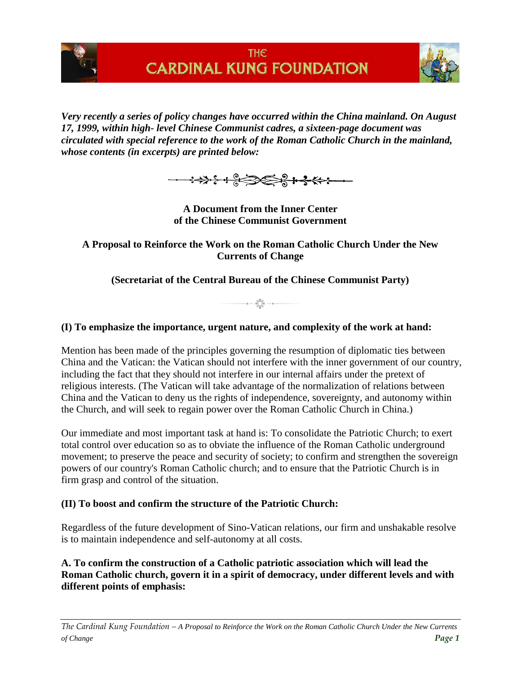



*Very recently a series of policy changes have occurred within the China mainland. On August 17, 1999, within high- level Chinese Communist cadres, a sixteen-page document was circulated with special reference to the work of the Roman Catholic Church in the mainland, whose contents (in excerpts) are printed below:* 



**A Document from the Inner Center of the Chinese Communist Government**

**A Proposal to Reinforce the Work on the Roman Catholic Church Under the New Currents of Change**

**(Secretariat of the Central Bureau of the Chinese Communist Party)**

 $-$  =  $-\frac{6\sum_{a=0}^{8\bar{a}}}{\sum_{a=0}^{8\bar{a}}}$  - =  $-$ 

### **(I) To emphasize the importance, urgent nature, and complexity of the work at hand:**

Mention has been made of the principles governing the resumption of diplomatic ties between China and the Vatican: the Vatican should not interfere with the inner government of our country, including the fact that they should not interfere in our internal affairs under the pretext of religious interests. (The Vatican will take advantage of the normalization of relations between China and the Vatican to deny us the rights of independence, sovereignty, and autonomy within the Church, and will seek to regain power over the Roman Catholic Church in China.)

Our immediate and most important task at hand is: To consolidate the Patriotic Church; to exert total control over education so as to obviate the influence of the Roman Catholic underground movement; to preserve the peace and security of society; to confirm and strengthen the sovereign powers of our country's Roman Catholic church; and to ensure that the Patriotic Church is in firm grasp and control of the situation.

#### **(II) To boost and confirm the structure of the Patriotic Church:**

Regardless of the future development of Sino-Vatican relations, our firm and unshakable resolve is to maintain independence and self-autonomy at all costs.

**A. To confirm the construction of a Catholic patriotic association which will lead the Roman Catholic church, govern it in a spirit of democracy, under different levels and with different points of emphasis:**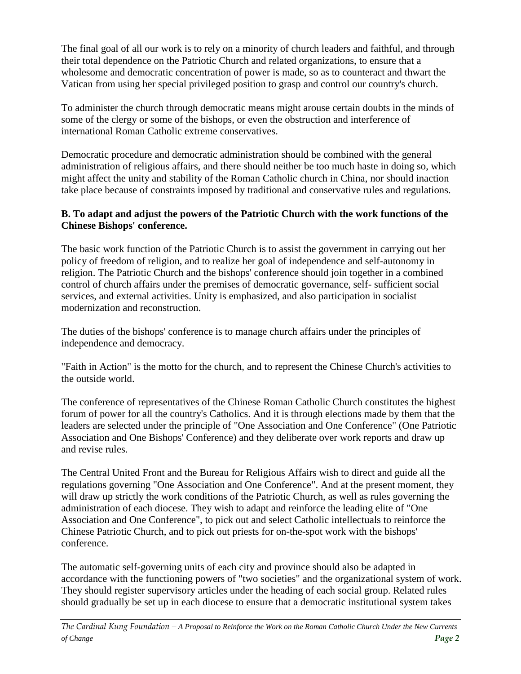The final goal of all our work is to rely on a minority of church leaders and faithful, and through their total dependence on the Patriotic Church and related organizations, to ensure that a wholesome and democratic concentration of power is made, so as to counteract and thwart the Vatican from using her special privileged position to grasp and control our country's church.

To administer the church through democratic means might arouse certain doubts in the minds of some of the clergy or some of the bishops, or even the obstruction and interference of international Roman Catholic extreme conservatives.

Democratic procedure and democratic administration should be combined with the general administration of religious affairs, and there should neither be too much haste in doing so, which might affect the unity and stability of the Roman Catholic church in China, nor should inaction take place because of constraints imposed by traditional and conservative rules and regulations.

## **B. To adapt and adjust the powers of the Patriotic Church with the work functions of the Chinese Bishops' conference.**

The basic work function of the Patriotic Church is to assist the government in carrying out her policy of freedom of religion, and to realize her goal of independence and self-autonomy in religion. The Patriotic Church and the bishops' conference should join together in a combined control of church affairs under the premises of democratic governance, self- sufficient social services, and external activities. Unity is emphasized, and also participation in socialist modernization and reconstruction.

The duties of the bishops' conference is to manage church affairs under the principles of independence and democracy.

"Faith in Action" is the motto for the church, and to represent the Chinese Church's activities to the outside world.

The conference of representatives of the Chinese Roman Catholic Church constitutes the highest forum of power for all the country's Catholics. And it is through elections made by them that the leaders are selected under the principle of "One Association and One Conference" (One Patriotic Association and One Bishops' Conference) and they deliberate over work reports and draw up and revise rules.

The Central United Front and the Bureau for Religious Affairs wish to direct and guide all the regulations governing "One Association and One Conference". And at the present moment, they will draw up strictly the work conditions of the Patriotic Church, as well as rules governing the administration of each diocese. They wish to adapt and reinforce the leading elite of "One Association and One Conference", to pick out and select Catholic intellectuals to reinforce the Chinese Patriotic Church, and to pick out priests for on-the-spot work with the bishops' conference.

The automatic self-governing units of each city and province should also be adapted in accordance with the functioning powers of "two societies" and the organizational system of work. They should register supervisory articles under the heading of each social group. Related rules should gradually be set up in each diocese to ensure that a democratic institutional system takes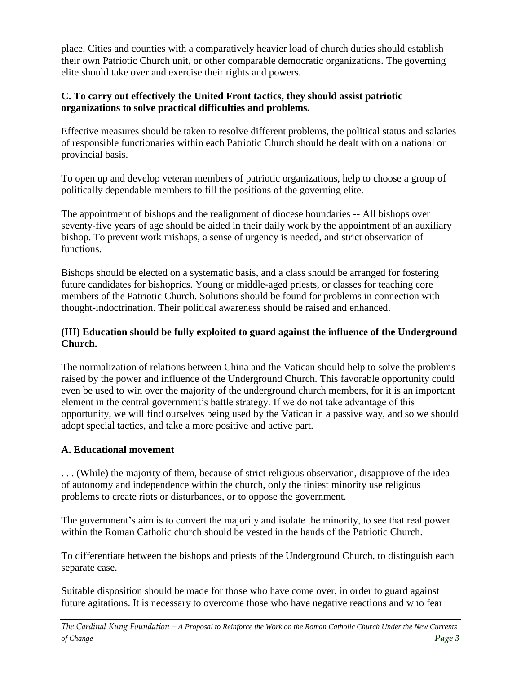place. Cities and counties with a comparatively heavier load of church duties should establish their own Patriotic Church unit, or other comparable democratic organizations. The governing elite should take over and exercise their rights and powers.

### **C. To carry out effectively the United Front tactics, they should assist patriotic organizations to solve practical difficulties and problems.**

Effective measures should be taken to resolve different problems, the political status and salaries of responsible functionaries within each Patriotic Church should be dealt with on a national or provincial basis.

To open up and develop veteran members of patriotic organizations, help to choose a group of politically dependable members to fill the positions of the governing elite.

The appointment of bishops and the realignment of diocese boundaries -- All bishops over seventy-five years of age should be aided in their daily work by the appointment of an auxiliary bishop. To prevent work mishaps, a sense of urgency is needed, and strict observation of functions.

Bishops should be elected on a systematic basis, and a class should be arranged for fostering future candidates for bishoprics. Young or middle-aged priests, or classes for teaching core members of the Patriotic Church. Solutions should be found for problems in connection with thought-indoctrination. Their political awareness should be raised and enhanced.

## **(III) Education should be fully exploited to guard against the influence of the Underground Church.**

The normalization of relations between China and the Vatican should help to solve the problems raised by the power and influence of the Underground Church. This favorable opportunity could even be used to win over the majority of the underground church members, for it is an important element in the central government's battle strategy. If we do not take advantage of this opportunity, we will find ourselves being used by the Vatican in a passive way, and so we should adopt special tactics, and take a more positive and active part.

# **A. Educational movement**

. . . (While) the majority of them, because of strict religious observation, disapprove of the idea of autonomy and independence within the church, only the tiniest minority use religious problems to create riots or disturbances, or to oppose the government.

The government's aim is to convert the majority and isolate the minority, to see that real power within the Roman Catholic church should be vested in the hands of the Patriotic Church.

To differentiate between the bishops and priests of the Underground Church, to distinguish each separate case.

Suitable disposition should be made for those who have come over, in order to guard against future agitations. It is necessary to overcome those who have negative reactions and who fear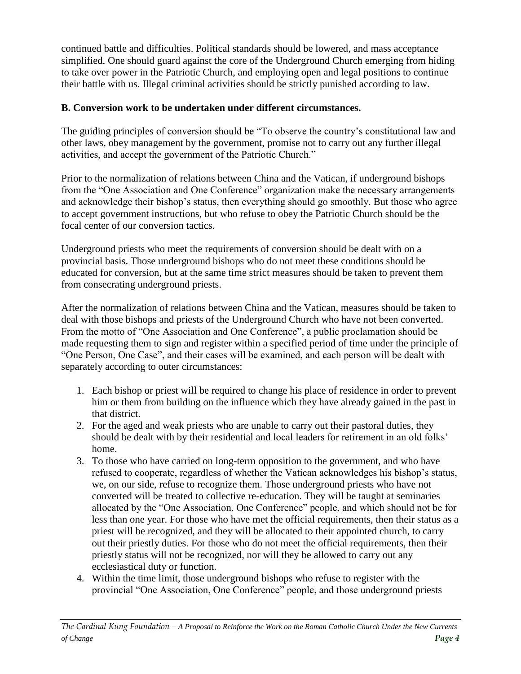continued battle and difficulties. Political standards should be lowered, and mass acceptance simplified. One should guard against the core of the Underground Church emerging from hiding to take over power in the Patriotic Church, and employing open and legal positions to continue their battle with us. Illegal criminal activities should be strictly punished according to law.

# **B. Conversion work to be undertaken under different circumstances.**

The guiding principles of conversion should be "To observe the country's constitutional law and other laws, obey management by the government, promise not to carry out any further illegal activities, and accept the government of the Patriotic Church."

Prior to the normalization of relations between China and the Vatican, if underground bishops from the "One Association and One Conference" organization make the necessary arrangements and acknowledge their bishop's status, then everything should go smoothly. But those who agree to accept government instructions, but who refuse to obey the Patriotic Church should be the focal center of our conversion tactics.

Underground priests who meet the requirements of conversion should be dealt with on a provincial basis. Those underground bishops who do not meet these conditions should be educated for conversion, but at the same time strict measures should be taken to prevent them from consecrating underground priests.

After the normalization of relations between China and the Vatican, measures should be taken to deal with those bishops and priests of the Underground Church who have not been converted. From the motto of "One Association and One Conference", a public proclamation should be made requesting them to sign and register within a specified period of time under the principle of "One Person, One Case", and their cases will be examined, and each person will be dealt with separately according to outer circumstances:

- 1. Each bishop or priest will be required to change his place of residence in order to prevent him or them from building on the influence which they have already gained in the past in that district.
- 2. For the aged and weak priests who are unable to carry out their pastoral duties, they should be dealt with by their residential and local leaders for retirement in an old folks' home.
- 3. To those who have carried on long-term opposition to the government, and who have refused to cooperate, regardless of whether the Vatican acknowledges his bishop's status, we, on our side, refuse to recognize them. Those underground priests who have not converted will be treated to collective re-education. They will be taught at seminaries allocated by the "One Association, One Conference" people, and which should not be for less than one year. For those who have met the official requirements, then their status as a priest will be recognized, and they will be allocated to their appointed church, to carry out their priestly duties. For those who do not meet the official requirements, then their priestly status will not be recognized, nor will they be allowed to carry out any ecclesiastical duty or function.
- 4. Within the time limit, those underground bishops who refuse to register with the provincial "One Association, One Conference" people, and those underground priests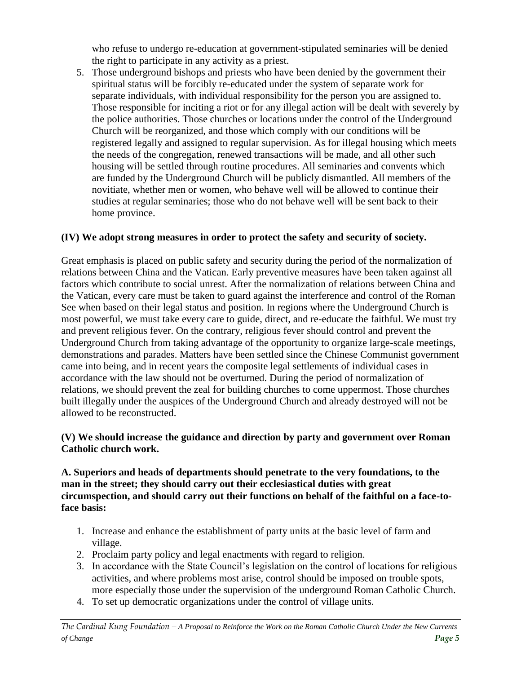who refuse to undergo re-education at government-stipulated seminaries will be denied the right to participate in any activity as a priest.

5. Those underground bishops and priests who have been denied by the government their spiritual status will be forcibly re-educated under the system of separate work for separate individuals, with individual responsibility for the person you are assigned to. Those responsible for inciting a riot or for any illegal action will be dealt with severely by the police authorities. Those churches or locations under the control of the Underground Church will be reorganized, and those which comply with our conditions will be registered legally and assigned to regular supervision. As for illegal housing which meets the needs of the congregation, renewed transactions will be made, and all other such housing will be settled through routine procedures. All seminaries and convents which are funded by the Underground Church will be publicly dismantled. All members of the novitiate, whether men or women, who behave well will be allowed to continue their studies at regular seminaries; those who do not behave well will be sent back to their home province.

# **(IV) We adopt strong measures in order to protect the safety and security of society.**

Great emphasis is placed on public safety and security during the period of the normalization of relations between China and the Vatican. Early preventive measures have been taken against all factors which contribute to social unrest. After the normalization of relations between China and the Vatican, every care must be taken to guard against the interference and control of the Roman See when based on their legal status and position. In regions where the Underground Church is most powerful, we must take every care to guide, direct, and re-educate the faithful. We must try and prevent religious fever. On the contrary, religious fever should control and prevent the Underground Church from taking advantage of the opportunity to organize large-scale meetings, demonstrations and parades. Matters have been settled since the Chinese Communist government came into being, and in recent years the composite legal settlements of individual cases in accordance with the law should not be overturned. During the period of normalization of relations, we should prevent the zeal for building churches to come uppermost. Those churches built illegally under the auspices of the Underground Church and already destroyed will not be allowed to be reconstructed.

## **(V) We should increase the guidance and direction by party and government over Roman Catholic church work.**

#### **A. Superiors and heads of departments should penetrate to the very foundations, to the man in the street; they should carry out their ecclesiastical duties with great circumspection, and should carry out their functions on behalf of the faithful on a face-toface basis:**

- 1. Increase and enhance the establishment of party units at the basic level of farm and village.
- 2. Proclaim party policy and legal enactments with regard to religion.
- 3. In accordance with the State Council's legislation on the control of locations for religious activities, and where problems most arise, control should be imposed on trouble spots, more especially those under the supervision of the underground Roman Catholic Church.
- 4. To set up democratic organizations under the control of village units.